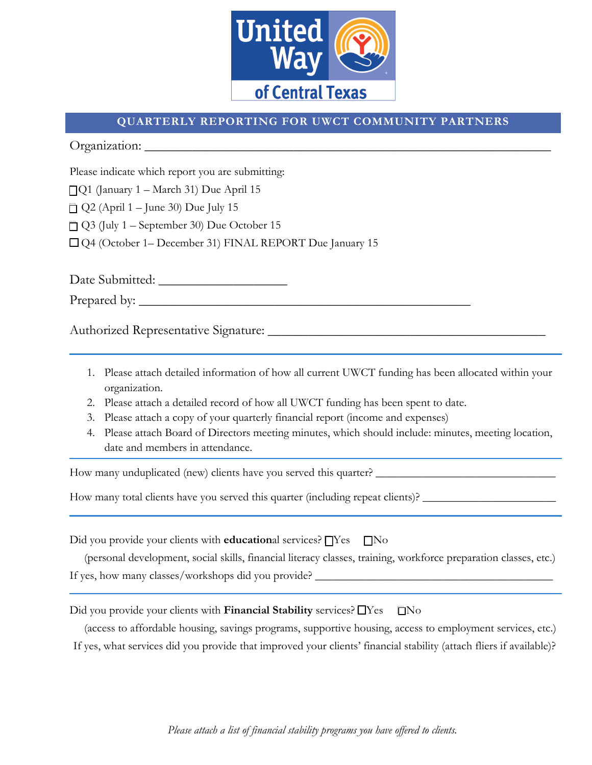

## **QUARTERLY REPORTING FOR UWCT COMMUNITY PARTNERS**

Organization: \_\_\_\_\_\_\_\_\_\_\_\_\_\_\_\_\_\_\_\_\_\_\_\_\_\_\_\_\_\_\_\_\_\_\_\_\_\_\_\_\_\_\_\_\_\_\_\_\_\_\_\_\_\_\_\_\_\_\_\_

Please indicate which report you are submitting:

 $\Box$ Q1 (January 1 – March 31) Due April 15

 $\Box$  Q2 (April 1 – June 30) Due July 15

 $\Box$  Q3 (July 1 – September 30) Due October 15

� Q4 (October 1– December 31) FINAL REPORT Due January 15

Date Submitted: \_\_\_\_\_\_\_\_\_\_\_\_\_\_\_\_\_\_\_

Prepared by: \_\_\_\_\_\_\_\_\_\_\_\_\_\_\_\_\_\_\_\_\_\_\_\_\_\_\_\_\_\_\_\_\_\_\_\_\_\_\_\_\_\_\_\_\_\_\_\_\_

Authorized Representative Signature: \_\_\_\_\_\_\_\_\_\_\_\_\_\_\_\_\_\_\_\_\_\_\_\_\_\_\_\_\_\_\_\_\_\_\_\_\_\_\_\_\_

- 1. Please attach detailed information of how all current UWCT funding has been allocated within your organization.
- 2. Please attach a detailed record of how all UWCT funding has been spent to date.
- 3. Please attach a copy of your quarterly financial report (income and expenses)
- 4. Please attach Board of Directors meeting minutes, which should include: minutes, meeting location, date and members in attendance.

How many unduplicated (new) clients have you served this quarter? \_\_\_\_\_\_\_\_\_\_\_\_\_\_\_

How many total clients have you served this quarter (including repeat clients)?  $\Box$ 

Did you provide your clients with **education**al services?  $\Box$  Yes  $\Box$  No

 (personal development, social skills, financial literacy classes, training, workforce preparation classes, etc.) If yes, how many classes/workshops did you provide?

Did you provide your clients with **Financial Stability** services? □Yes □No

 (access to affordable housing, savings programs, supportive housing, access to employment services, etc.) If yes, what services did you provide that improved your clients' financial stability (attach fliers if available)?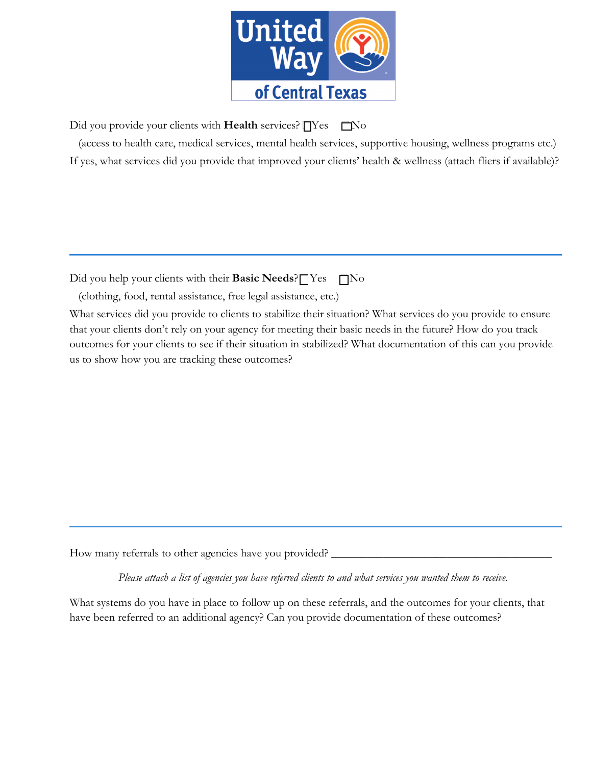

Did you provide your clients with **Health** services?  $\Box$  Yes  $\Box$  No

 (access to health care, medical services, mental health services, supportive housing, wellness programs etc.) If yes, what services did you provide that improved your clients' health & wellness (attach fliers if available)?

Did you help your clients with their **Basic Needs**?  $\Box$  Yes  $\Box$  No

(clothing, food, rental assistance, free legal assistance, etc.)

What services did you provide to clients to stabilize their situation? What services do you provide to ensure that your clients don't rely on your agency for meeting their basic needs in the future? How do you track outcomes for your clients to see if their situation in stabilized? What documentation of this can you provide us to show how you are tracking these outcomes?

How many referrals to other agencies have you provided?

*Please attach a list of agencies you have referred clients to and what services you wanted them to receive.* 

What systems do you have in place to follow up on these referrals, and the outcomes for your clients, that have been referred to an additional agency? Can you provide documentation of these outcomes?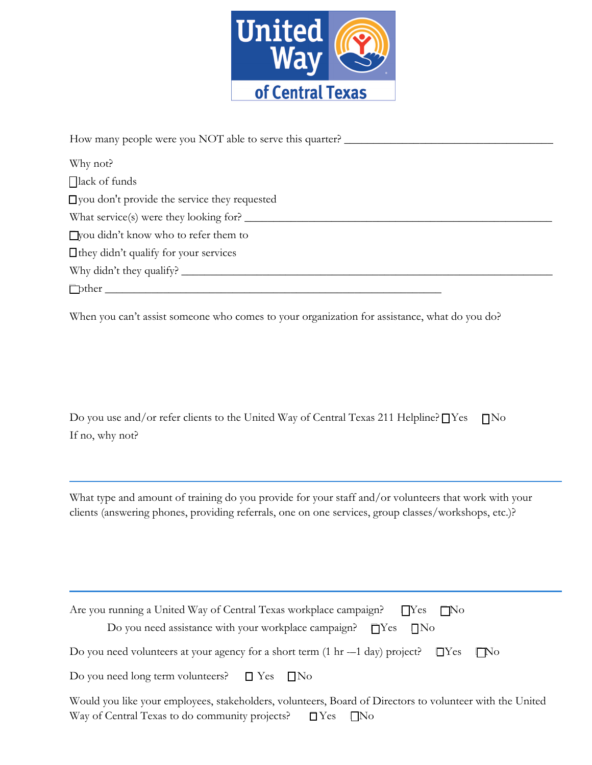

How many people were you NOT able to serve this quarter? Why not?  $\bigcap$ lack of funds  $\Box$  you don't provide the service they requested What service(s) were they looking for? \_\_\_\_\_\_\_\_\_\_\_\_\_\_\_\_\_\_\_\_\_\_\_\_\_\_\_\_\_\_\_\_\_\_\_\_\_\_\_\_\_\_\_\_\_\_\_\_\_\_\_\_\_ �you didn't know who to refer them to  $\Box$  they didn't qualify for your services Why didn't they qualify? \_\_\_\_\_\_\_\_\_\_\_\_\_\_\_\_\_\_\_\_\_\_\_\_\_\_\_\_\_\_\_\_\_\_\_\_\_\_\_\_\_\_\_\_\_\_\_\_\_\_\_\_\_\_\_\_\_\_\_\_\_\_\_\_  $\Box$ 

When you can't assist someone who comes to your organization for assistance, what do you do?

Do you use and/or refer clients to the United Way of Central Texas 211 Helpline?  $\Box$  Yes  $\Box$  No If no, why not?

What type and amount of training do you provide for your staff and/or volunteers that work with your clients (answering phones, providing referrals, one on one services, group classes/workshops, etc.)?

| Are you running a United Way of Central Texas workplace campaign? $\Box$ TYes $\Box$ No<br>Do you need assistance with your workplace campaign? $\Box$ Yes $\Box$ No |
|----------------------------------------------------------------------------------------------------------------------------------------------------------------------|
| Do you need volunteers at your agency for a short term $(1 \text{ hr} -1 \text{ day})$ project? $\Box$ Yes $\Box$ No                                                 |
| Do you need long term volunteers? $\Box$ Yes $\Box$ No                                                                                                               |
| Would you like your employees, stakeholders, volunteers, Board of Directors to volunteer with the United                                                             |

Way of Central Texas to do community projects?  $\Box$  Yes  $\Box$  No